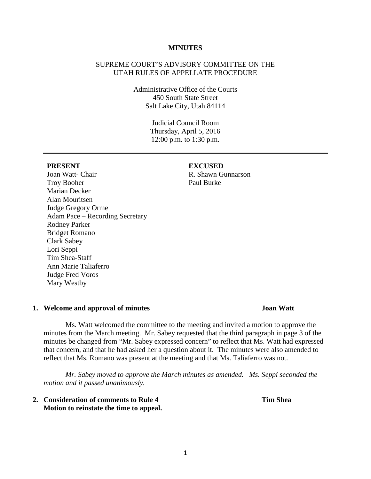#### **MINUTES**

### SUPREME COURT'S ADVISORY COMMITTEE ON THE UTAH RULES OF APPELLATE PROCEDURE

Administrative Office of the Courts 450 South State Street Salt Lake City, Utah 84114

> Judicial Council Room Thursday, April 5, 2016 12:00 p.m. to 1:30 p.m.

#### **PRESENT EXCUSED**

## Joan Watt- Chair Troy Booher Marian Decker Alan Mouritsen Judge Gregory Orme Adam Pace – Recording Secretary Rodney Parker Bridget Romano Clark Sabey Lori Seppi Tim Shea-Staff Ann Marie Taliaferro Judge Fred Voros Mary Westby

# R. Shawn Gunnarson

Paul Burke

## **1. Welcome and approval of minutes Joan Watt**

Ms. Watt welcomed the committee to the meeting and invited a motion to approve the minutes from the March meeting. Mr. Sabey requested that the third paragraph in page 3 of the minutes be changed from "Mr. Sabey expressed concern" to reflect that Ms. Watt had expressed that concern, and that he had asked her a question about it. The minutes were also amended to reflect that Ms. Romano was present at the meeting and that Ms. Taliaferro was not.

*Mr. Sabey moved to approve the March minutes as amended. Ms. Seppi seconded the motion and it passed unanimously.* 

**2. Consideration of comments to Rule 4 Tim Shea Motion to reinstate the time to appeal.**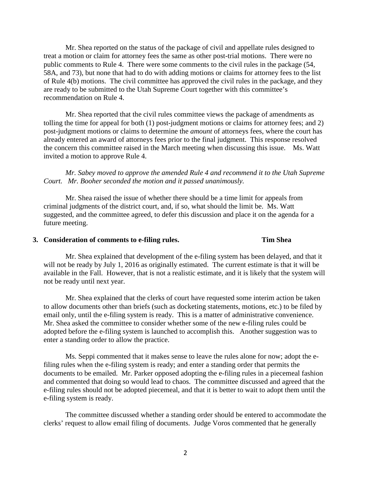Mr. Shea reported on the status of the package of civil and appellate rules designed to treat a motion or claim for attorney fees the same as other post-trial motions. There were no public comments to Rule 4. There were some comments to the civil rules in the package (54, 58A, and 73), but none that had to do with adding motions or claims for attorney fees to the list of Rule 4(b) motions. The civil committee has approved the civil rules in the package, and they are ready to be submitted to the Utah Supreme Court together with this committee's recommendation on Rule 4.

Mr. Shea reported that the civil rules committee views the package of amendments as tolling the time for appeal for both (1) post-judgment motions or claims for attorney fees; and 2) post-judgment motions or claims to determine the *amount* of attorneys fees, where the court has already entered an award of attorneys fees prior to the final judgment. This response resolved the concern this committee raised in the March meeting when discussing this issue. Ms. Watt invited a motion to approve Rule 4.

*Mr. Sabey moved to approve the amended Rule 4 and recommend it to the Utah Supreme Court. Mr. Booher seconded the motion and it passed unanimously.*

Mr. Shea raised the issue of whether there should be a time limit for appeals from criminal judgments of the district court, and, if so, what should the limit be. Ms. Watt suggested, and the committee agreed, to defer this discussion and place it on the agenda for a future meeting.

## **3. Consideration of comments to e-filing rules. Tim Shea**

Mr. Shea explained that development of the e-filing system has been delayed, and that it will not be ready by July 1, 2016 as originally estimated. The current estimate is that it will be available in the Fall. However, that is not a realistic estimate, and it is likely that the system will not be ready until next year.

Mr. Shea explained that the clerks of court have requested some interim action be taken to allow documents other than briefs (such as docketing statements, motions, etc.) to be filed by email only, until the e-filing system is ready. This is a matter of administrative convenience. Mr. Shea asked the committee to consider whether some of the new e-filing rules could be adopted before the e-filing system is launched to accomplish this. Another suggestion was to enter a standing order to allow the practice.

Ms. Seppi commented that it makes sense to leave the rules alone for now; adopt the efiling rules when the e-filing system is ready; and enter a standing order that permits the documents to be emailed. Mr. Parker opposed adopting the e-filing rules in a piecemeal fashion and commented that doing so would lead to chaos. The committee discussed and agreed that the e-filing rules should not be adopted piecemeal, and that it is better to wait to adopt them until the e-filing system is ready.

The committee discussed whether a standing order should be entered to accommodate the clerks' request to allow email filing of documents. Judge Voros commented that he generally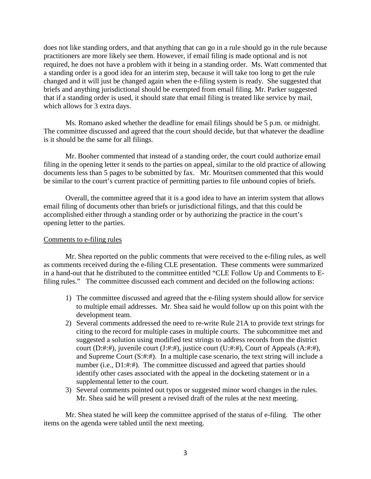does not like standing orders, and that anything that can go in a rule should go in the rule because practitioners are more likely see them. However, if email filing is made optional and is not required, he does not have a problem with it being in a standing order. Ms. Watt commented that a standing order is a good idea for an interim step, because it will take too long to get the rule changed and it will just be changed again when the e-filing system is ready. She suggested that briefs and anything jurisdictional should be exempted from email filing. Mr. Parker suggested that if a standing order is used, it should state that email filing is treated like service by mail, which allows for 3 extra days.

Ms. Romano asked whether the deadline for email filings should be 5 p.m. or midnight. The committee discussed and agreed that the court should decide, but that whatever the deadline is it should be the same for all filings.

Mr. Booher commented that instead of a standing order, the court could authorize email filing in the opening letter it sends to the parties on appeal, similar to the old practice of allowing documents less than 5 pages to be submitted by fax. Mr. Mouritsen commented that this would be similar to the court's current practice of permitting parties to file unbound copies of briefs.

Overall, the committee agreed that it is a good idea to have an interim system that allows email filing of documents other than briefs or jurisdictional filings, and that this could be accomplished either through a standing order or by authorizing the practice in the court's opening letter to the parties.

#### Comments to e-filing rules

Mr. Shea reported on the public comments that were received to the e-filing rules, as well as comments received during the e-filing CLE presentation. These comments were summarized in a hand-out that he distributed to the committee entitled "CLE Follow Up and Comments to Efiling rules." The committee discussed each comment and decided on the following actions:

- 1) The committee discussed and agreed that the e-filing system should allow for service to multiple email addresses. Mr. Shea said he would follow up on this point with the development team.
- 2) Several comments addressed the need to re-write Rule 21A to provide text strings for citing to the record for multiple cases in multiple courts. The subcommittee met and suggested a solution using modified test strings to address records from the district court (D:#:#), juvenile court (J:#:#), justice court (U:#:#), Court of Appeals (A:#:#), and Supreme Court (S:#:#). In a multiple case scenario, the text string will include a number (i.e., D1:#:#). The committee discussed and agreed that parties should identify other cases associated with the appeal in the docketing statement or in a supplemental letter to the court.
- 3) Several comments pointed out typos or suggested minor word changes in the rules. Mr. Shea said he will present a revised draft of the rules at the next meeting.

Mr. Shea stated he will keep the committee apprised of the status of e-filing. The other items on the agenda were tabled until the next meeting.